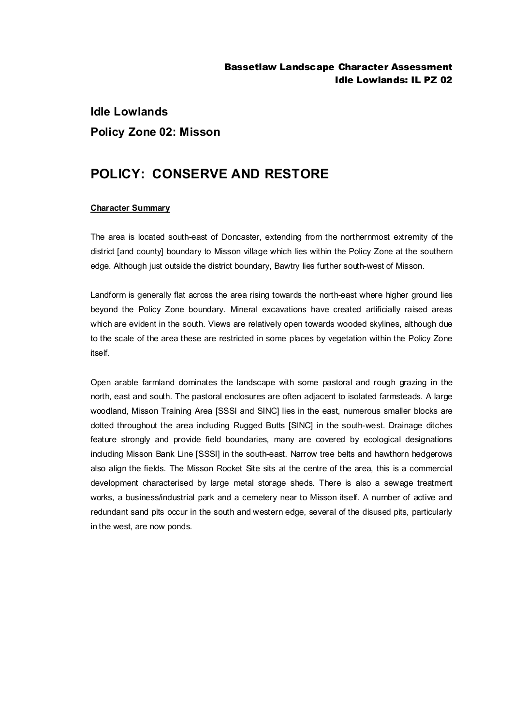## **Idle Lowlands Policy Zone 02: Misson**

## **POLICY: CONSERVE AND RESTORE**

## **Character Summary**

The area is located south-east of Doncaster, extending from the northernmost extremity of the district [and county] boundary to Misson village which lies within the Policy Zone at the southern edge. Although just outside the district boundary, Bawtry lies further south-west of Misson.

Landform is generally flat across the area rising towards the north-east where higher ground lies beyond the Policy Zone boundary. Mineral excavations have created artificially raised areas which are evident in the south. Views are relatively open towards wooded skylines, although due to the scale of the area these are restricted in some places by vegetation within the Policy Zone itself.

Open arable farmland dominates the landscape with some pastoral and rough grazing in the north, east and south. The pastoral enclosures are often adjacent to isolated farmsteads. A large woodland, Misson Training Area [SSSI and SINC] lies in the east, numerous smaller blocks are dotted throughout the area including Rugged Butts [SINC] in the south-west. Drainage ditches feature strongly and provide field boundaries, many are covered by ecological designations including Misson Bank Line [SSSI] in the south-east. Narrow tree belts and hawthorn hedgerows also align the fields. The Misson Rocket Site sits at the centre of the area, this is a commercial development characterised by large metal storage sheds. There is also a sewage treatment works, a business/industrial park and a cemetery near to Misson itself. A number of active and redundant sand pits occur in the south and western edge, several of the disused pits, particularly in the west, are now ponds.